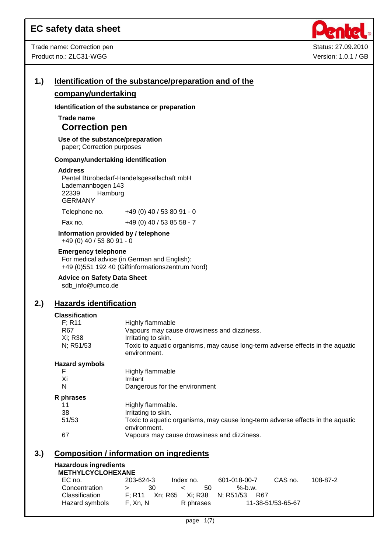

## **1.) Identification of the substance/preparation and of the**

### **company/undertaking**

**Identification of the substance or preparation**

## **Trade name Correction pen**

**Use of the substance/preparation** paper; Correction purposes

#### **Company/undertaking identification**

#### **Address**

Pentel Bürobedarf-Handelsgesellschaft mbH Lademannbogen 143 22339 Hamburg GERMANY

| Telephone no. | +49 (0) 40 / 53 80 91 - 0    |
|---------------|------------------------------|
| Fay no        | $+49(0)$ $40/53$ $85.58$ - 7 |

Fax no.  $+49(0)40/538558 - 7$ 

#### **Information provided by / telephone** +49 (0) 40 / 53 80 91 - 0

#### **Emergency telephone**

For medical advice (in German and English): +49 (0)551 192 40 (Giftinformationszentrum Nord)

**Advice on Safety Data Sheet**

sdb\_info@umco.de

## **2.) Hazards identification**

## **Classification**

| <b>UIASSIIIUALIUII</b> |                                                                                                |
|------------------------|------------------------------------------------------------------------------------------------|
| F; R11                 | Highly flammable                                                                               |
| R67                    | Vapours may cause drowsiness and dizziness.                                                    |
| Xi; R38                | Irritating to skin.                                                                            |
| N; R51/53              | Toxic to aquatic organisms, may cause long-term adverse effects in the aquatic<br>environment. |
| <b>Hazard symbols</b>  |                                                                                                |
| F                      | Highly flammable                                                                               |
| Xi                     | Irritant                                                                                       |
| N                      | Dangerous for the environment                                                                  |
| R phrases              |                                                                                                |
| 11                     | Highly flammable.                                                                              |
| 38                     | Irritating to skin.                                                                            |
| 51/53                  | Toxic to aquatic organisms, may cause long-term adverse effects in the aquatic<br>environment. |
| 67                     | Vapours may cause drowsiness and dizziness.                                                    |

### **3.) Composition / information on ingredients**

#### **Hazardous ingredients METHYLCYCLOHEXANE**

| MEINILVIVLUNEAANE |           |                              |                                      |                   |          |
|-------------------|-----------|------------------------------|--------------------------------------|-------------------|----------|
| EC no.            | 203-624-3 | Index no.                    | 601-018-00-7                         | CAS no.           | 108-87-2 |
| Concentration     | 30.       | -50-<br>$\sim$ $\sim$ $\sim$ | %-b.w.                               |                   |          |
| Classification    |           |                              | F: R11 Xn: R65 Xi: R38 N: R51/53 R67 |                   |          |
| Hazard symbols    | F. Xn. N  | R phrases                    |                                      | 11-38-51/53-65-67 |          |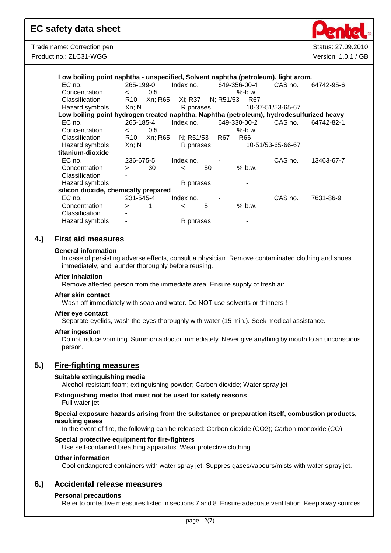| Low boiling point naphtha - unspecified, Solvent naphtha (petroleum), light arom.        |                 |         |                   |    |              |           |     |                   |            |
|------------------------------------------------------------------------------------------|-----------------|---------|-------------------|----|--------------|-----------|-----|-------------------|------------|
| EC no.                                                                                   | 265-199-0       |         | Index no.         |    | 649-356-00-4 |           |     | CAS no.           | 64742-95-6 |
| Concentration                                                                            | $\lt$           | 0,5     |                   |    |              | $%$ -b.w. |     |                   |            |
| Classification                                                                           | R <sub>10</sub> | Xn; R65 | Xi; R37 N; R51/53 |    |              |           | R67 |                   |            |
| Hazard symbols                                                                           | Xn; N           |         | R phrases         |    |              |           |     | 10-37-51/53-65-67 |            |
| Low boiling point hydrogen treated naphtha, Naphtha (petroleum), hydrodesulfurized heavy |                 |         |                   |    |              |           |     |                   |            |
| EC no.                                                                                   | 265-185-4       |         | Index no.         |    | 649-330-00-2 |           |     | CAS no.           | 64742-82-1 |
| Concentration                                                                            | $\lt$           | 0,5     |                   |    |              | $%$ -b.w. |     |                   |            |
| Classification                                                                           | R <sub>10</sub> | Xn; R65 | N: R51/53         |    | R67          | R66       |     |                   |            |
| Hazard symbols                                                                           | Xn; N           |         | R phrases         |    |              |           |     | 10-51/53-65-66-67 |            |
| titanium-dioxide                                                                         |                 |         |                   |    |              |           |     |                   |            |
| EC no.                                                                                   | 236-675-5       |         | Index no.         |    |              |           |     | CAS no.           | 13463-67-7 |
| Concentration                                                                            | $\geq$          | 30      | $\,<\,$           | 50 |              | $%$ -b.w. |     |                   |            |
| Classification                                                                           |                 |         |                   |    |              |           |     |                   |            |
| Hazard symbols                                                                           |                 |         | R phrases         |    |              |           |     |                   |            |
| silicon dioxide, chemically prepared                                                     |                 |         |                   |    |              |           |     |                   |            |
| EC no.                                                                                   | 231-545-4       |         | Index no.         |    |              |           |     | CAS no.           | 7631-86-9  |
| Concentration                                                                            | >               |         | <                 | 5  |              | $%$ -b.w. |     |                   |            |
| Classification                                                                           |                 |         |                   |    |              |           |     |                   |            |
| Hazard symbols                                                                           |                 |         | R phrases         |    |              |           |     |                   |            |

## **4.) First aid measures**

#### **General information**

In case of persisting adverse effects, consult a physician. Remove contaminated clothing and shoes immediately, and launder thoroughly before reusing.

#### **After inhalation**

Remove affected person from the immediate area. Ensure supply of fresh air.

#### **After skin contact**

Wash off immediately with soap and water. Do NOT use solvents or thinners !

#### **After eye contact**

Separate eyelids, wash the eyes thoroughly with water (15 min.). Seek medical assistance.

#### **After ingestion**

Do not induce vomiting. Summon a doctor immediately. Never give anything by mouth to an unconscious person.

## **5.) Fire-fighting measures**

#### **Suitable extinguishing media**

Alcohol-resistant foam; extinguishing powder; Carbon dioxide; Water spray jet

### **Extinguishing media that must not be used for safety reasons**

Full water jet

#### **Special exposure hazards arising from the substance or preparation itself, combustion products, resulting gases**

In the event of fire, the following can be released: Carbon dioxide (CO2); Carbon monoxide (CO)

#### **Special protective equipment for fire-fighters**

Use self-contained breathing apparatus. Wear protective clothing.

#### **Other information**

Cool endangered containers with water spray jet. Suppres gases/vapours/mists with water spray jet.

### **6.) Accidental release measures**

#### **Personal precautions**

Refer to protective measures listed in sections 7 and 8. Ensure adequate ventilation. Keep away sources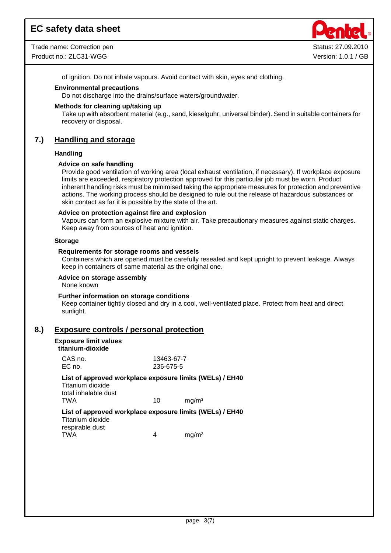Trade name: Correction pen Status: 27.09.2010 Product no.: ZLC31-WGG Version: 1.0.1 / GB



of ignition. Do not inhale vapours. Avoid contact with skin, eyes and clothing.

#### **Environmental precautions**

Do not discharge into the drains/surface waters/groundwater.

#### **Methods for cleaning up/taking up**

Take up with absorbent material (e.g., sand, kieselguhr, universal binder). Send in suitable containers for recovery or disposal.

### **7.) Handling and storage**

#### **Handling**

#### **Advice on safe handling**

Provide good ventilation of working area (local exhaust ventilation, if necessary). If workplace exposure limits are exceeded, respiratory protection approved for this particular job must be worn. Product inherent handling risks must be minimised taking the appropriate measures for protection and preventive actions. The working process should be designed to rule out the release of hazardous substances or skin contact as far it is possible by the state of the art.

#### **Advice on protection against fire and explosion**

Vapours can form an explosive mixture with air. Take precautionary measures against static charges. Keep away from sources of heat and ignition.

#### **Storage**

#### **Requirements for storage rooms and vessels**

Containers which are opened must be carefully resealed and kept upright to prevent leakage. Always keep in containers of same material as the original one.

#### **Advice on storage assembly**

None known

#### **Further information on storage conditions**

Keep container tightly closed and dry in a cool, well-ventilated place. Protect from heat and direct sunlight.

#### **8.) Exposure controls / personal protection**

#### **Exposure limit values titanium-dioxide**

| List of approved workplace exposure limits (WELs) / EH40 |                         |                   |  |
|----------------------------------------------------------|-------------------------|-------------------|--|
| Titanium dioxide<br>total inhalable dust<br>TWA          | 10                      | ma/m <sup>3</sup> |  |
| List of approved workplace exposure limits (WELs) / EH40 |                         |                   |  |
| CAS no.<br>EC no.                                        | 13463-67-7<br>236-675-5 |                   |  |
| itanium-gioxige                                          |                         |                   |  |

Titanium dioxide respirable dust TWA 4 mg/m<sup>3</sup>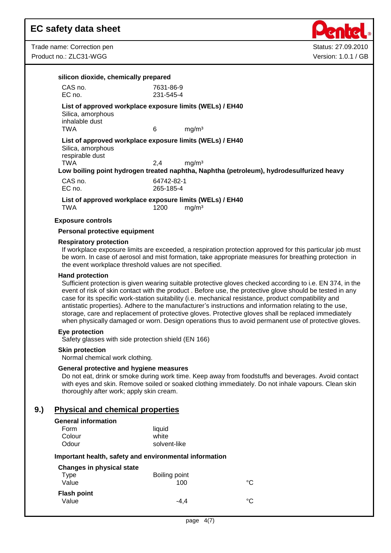Trade name: Correction pen Status: 27.09.2010 Product no.: ZLC31-WGG Version: 1.0.1 / GB



| CAS no.                                                                                  | 7631-86-9  |                                                                                                                                                                                                                                                                                                                                                                                                                                                                                                                                                                                                                                                          |
|------------------------------------------------------------------------------------------|------------|----------------------------------------------------------------------------------------------------------------------------------------------------------------------------------------------------------------------------------------------------------------------------------------------------------------------------------------------------------------------------------------------------------------------------------------------------------------------------------------------------------------------------------------------------------------------------------------------------------------------------------------------------------|
| EC no.                                                                                   | 231-545-4  |                                                                                                                                                                                                                                                                                                                                                                                                                                                                                                                                                                                                                                                          |
| Silica, amorphous<br>inhalable dust                                                      |            | List of approved workplace exposure limits (WELs) / EH40                                                                                                                                                                                                                                                                                                                                                                                                                                                                                                                                                                                                 |
| <b>TWA</b>                                                                               | 6          | mg/m <sup>3</sup>                                                                                                                                                                                                                                                                                                                                                                                                                                                                                                                                                                                                                                        |
| Silica, amorphous<br>respirable dust                                                     |            | List of approved workplace exposure limits (WELs) / EH40                                                                                                                                                                                                                                                                                                                                                                                                                                                                                                                                                                                                 |
| <b>TWA</b>                                                                               | 2,4        | mg/m <sup>3</sup><br>Low boiling point hydrogen treated naphtha, Naphtha (petroleum), hydrodesulfurized heavy                                                                                                                                                                                                                                                                                                                                                                                                                                                                                                                                            |
| CAS no.                                                                                  | 64742-82-1 |                                                                                                                                                                                                                                                                                                                                                                                                                                                                                                                                                                                                                                                          |
| EC no.                                                                                   | 265-185-4  |                                                                                                                                                                                                                                                                                                                                                                                                                                                                                                                                                                                                                                                          |
| <b>TWA</b>                                                                               | 1200       | List of approved workplace exposure limits (WELs) / EH40<br>mg/m <sup>3</sup>                                                                                                                                                                                                                                                                                                                                                                                                                                                                                                                                                                            |
| <b>Exposure controls</b>                                                                 |            |                                                                                                                                                                                                                                                                                                                                                                                                                                                                                                                                                                                                                                                          |
| Personal protective equipment                                                            |            |                                                                                                                                                                                                                                                                                                                                                                                                                                                                                                                                                                                                                                                          |
| <b>Respiratory protection</b><br>the event workplace threshold values are not specified. |            | If workplace exposure limits are exceeded, a respiration protection approved for this particular job must<br>be worn. In case of aerosol and mist formation, take appropriate measures for breathing protection in                                                                                                                                                                                                                                                                                                                                                                                                                                       |
| <b>Hand protection</b>                                                                   |            | Sufficient protection is given wearing suitable protective gloves checked according to i.e. EN 374, in the<br>event of risk of skin contact with the product. Before use, the protective glove should be tested in any<br>case for its specific work-station suitability (i.e. mechanical resistance, product compatibility and<br>antistatic properties). Adhere to the manufacturer's instructions and information relating to the use,<br>storage, care and replacement of protective gloves. Protective gloves shall be replaced immediately<br>when physically damaged or worn. Design operations thus to avoid permanent use of protective gloves. |
| Eye protection<br>Safety glasses with side protection shield (EN 166)                    |            |                                                                                                                                                                                                                                                                                                                                                                                                                                                                                                                                                                                                                                                          |
| <b>Skin protection</b><br>Normal chemical work clothing.                                 |            |                                                                                                                                                                                                                                                                                                                                                                                                                                                                                                                                                                                                                                                          |
| General protective and hygiene measures                                                  |            | Do not eat, drink or smoke during work time. Keep away from foodstuffs and beverages. Avoid contact<br>with eyes and skin. Remove soiled or soaked clothing immediately. Do not inhale vapours. Clean skin                                                                                                                                                                                                                                                                                                                                                                                                                                               |

## **General information**

| וטווסו מו ווווטווווומנוטוו |              |
|----------------------------|--------------|
| Form                       | liquid       |
| Colour                     | white        |
| Odour                      | solvent-like |
|                            |              |

### **Important health, safety and environmental information**

| Boiling point |    |
|---------------|----|
| 100           | °C |
|               |    |
| $-4.4$        | °C |
|               |    |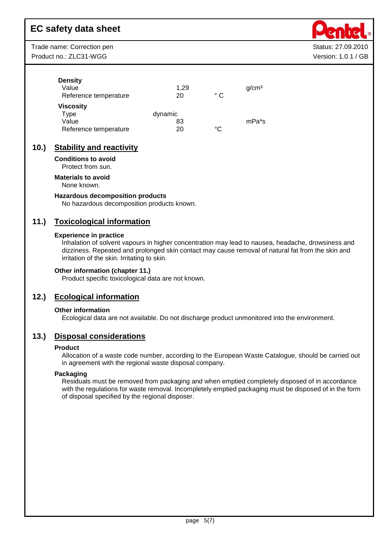Trade name: Correction pen Status: 27.09.2010 Product no.: ZLC31-WGG Version: 1.0.1 / GB

**Density** 

| Value                 | 1.29    |     | q/cm <sup>3</sup> |
|-----------------------|---------|-----|-------------------|
| Reference temperature | 20      | ° C |                   |
| Viscosity             |         |     |                   |
| Type                  | dynamic |     |                   |
| Value                 | 83      |     | mPa*s             |
| Reference temperature | 20      | °C  |                   |

## **10.) Stability and reactivity**

**Conditions to avoid**

Protect from sun.

## **Materials to avoid**

None known.

#### **Hazardous decomposition products**

No hazardous decomposition products known.

## **11.) Toxicological information**

#### **Experience in practice**

Inhalation of solvent vapours in higher concentration may lead to nausea, headache, drowsiness and dizziness. Repeated and prolonged skin contact may cause removal of natural fat from the skin and irritation of the skin. Irritating to skin.

#### **Other information (chapter 11.)**

Product specific toxicological data are not known.

## **12.) Ecological information**

#### **Other information**

Ecological data are not available. Do not discharge product unmonitored into the environment.

### **13.) Disposal considerations**

#### **Product**

Allocation of a waste code number, according to the European Waste Catalogue, should be carried out in agreement with the regional waste disposal company.

#### **Packaging**

Residuals must be removed from packaging and when emptied completely disposed of in accordance with the regulations for waste removal. Incompletely emptied packaging must be disposed of in the form of disposal specified by the regional disposer.

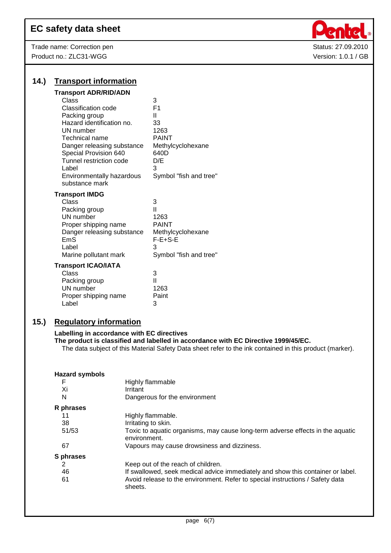Trade name: Correction pen Status: 27.09.2010 Product no.: ZLC31-WGG Version: 1.0.1 / GB



| 14.) | <b>Transport information</b>                                                                                                                                                                                                                                                               |                                                                                                                           |
|------|--------------------------------------------------------------------------------------------------------------------------------------------------------------------------------------------------------------------------------------------------------------------------------------------|---------------------------------------------------------------------------------------------------------------------------|
|      | <b>Transport ADR/RID/ADN</b><br>Class<br>Classification code<br>Packing group<br>Hazard identification no.<br>UN number<br><b>Technical name</b><br>Danger releasing substance<br>Special Provision 640<br>Tunnel restriction code<br>Label<br>Environmentally hazardous<br>substance mark | 3<br>F <sub>1</sub><br>Ш<br>33<br>1263<br><b>PAINT</b><br>Methylcyclohexane<br>640D<br>D/E<br>3<br>Symbol "fish and tree" |
|      | <b>Transport IMDG</b><br>Class<br>Packing group<br>UN number<br>Proper shipping name<br>Danger releasing substance<br>EmS<br>Label<br>Marine pollutant mark                                                                                                                                | 3<br>Ш<br>1263<br><b>PAINT</b><br>Methylcyclohexane<br>$F-E+S-E$<br>3<br>Symbol "fish and tree"                           |
|      | <b>Transport ICAO/IATA</b><br>Class<br>Packing group<br>UN number<br>Proper shipping name<br>Label                                                                                                                                                                                         | 3<br>н<br>1263<br>Paint<br>3                                                                                              |

## **15.) Regulatory information**

#### **Labelling in accordance with EC directives**

**The product is classified and labelled in accordance with EC Directive 1999/45/EC.**

The data subject of this Material Safety Data sheet refer to the ink contained in this product (marker).

| <b>Hazard symbols</b><br>F<br>Xi<br>N | Highly flammable<br>Irritant<br>Dangerous for the environment                                  |
|---------------------------------------|------------------------------------------------------------------------------------------------|
| R phrases                             |                                                                                                |
|                                       | Highly flammable.                                                                              |
| 38                                    | Irritating to skin.                                                                            |
| 51/53                                 | Toxic to aquatic organisms, may cause long-term adverse effects in the aquatic<br>environment. |
| 67                                    | Vapours may cause drowsiness and dizziness.                                                    |
| S phrases                             |                                                                                                |
| 2                                     | Keep out of the reach of children.                                                             |
| 46                                    | If swallowed, seek medical advice immediately and show this container or label.                |
| 61                                    | Avoid release to the environment. Refer to special instructions / Safety data<br>sheets.       |